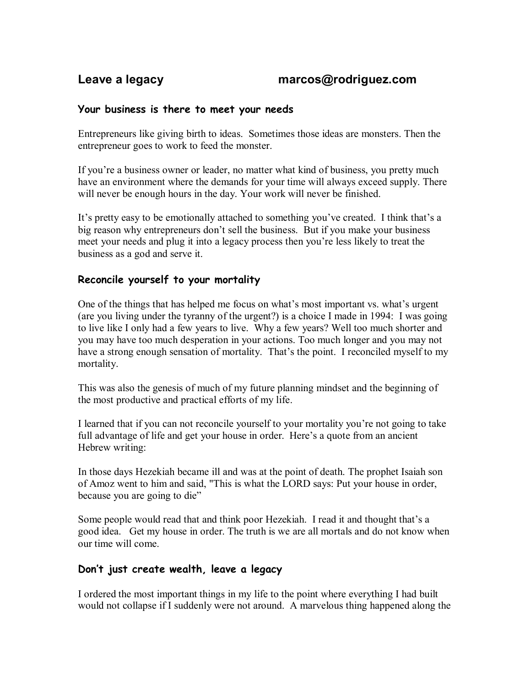# Leave a legacy **business** *marcos@rodriguez.com*

## **Your business is there to meet your needs**

Entrepreneurs like giving birth to ideas. Sometimes those ideas are monsters. Then the entrepreneur goes to work to feed the monster.

If you're a business owner or leader, no matter what kind of business, you pretty much have an environment where the demands for your time will always exceed supply. There will never be enough hours in the day. Your work will never be finished.

It's pretty easy to be emotionally attached to something you've created. I think that's a big reason why entrepreneurs don't sell the business. But if you make your business meet your needs and plug it into a legacy process then you're less likely to treat the business as a god and serve it.

## **Reconcile yourself to your mortality**

One of the things that has helped me focus on what's most important vs. what's urgent (are you living under the tyranny of the urgent?) is a choice I made in 1994: I was going to live like I only had a few years to live. Why a few years? Well too much shorter and you may have too much desperation in your actions. Too much longer and you may not have a strong enough sensation of mortality. That's the point. I reconciled myself to my mortality.

This was also the genesis of much of my future planning mindset and the beginning of the most productive and practical efforts of my life.

I learned that if you can not reconcile yourself to your mortality you're not going to take full advantage of life and get your house in order. Here's a quote from an ancient Hebrew writing:

In those days Hezekiah became ill and was at the point of death. The prophet Isaiah son of Amoz went to him and said, "This is what the LORD says: Put your house in order, because you are going to die"

Some people would read that and think poor Hezekiah. I read it and thought that's a good idea. Get my house in order. The truth is we are all mortals and do not know when our time will come.

# **Don't just create wealth, leave a legacy**

I ordered the most important things in my life to the point where everything I had built would not collapse if I suddenly were not around. A marvelous thing happened along the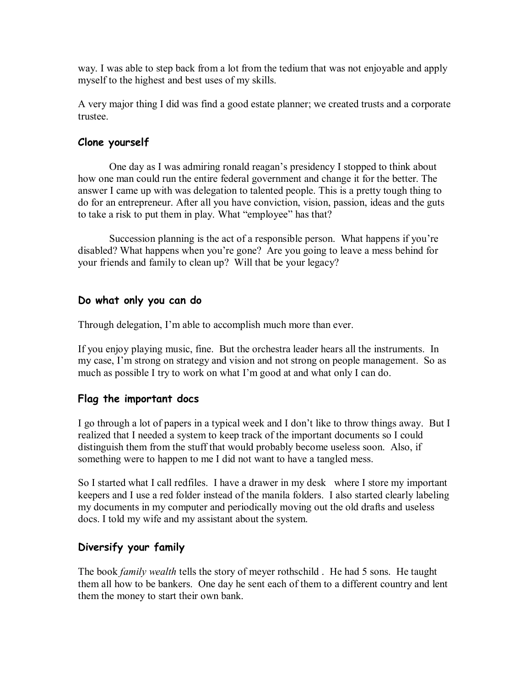way. I was able to step back from a lot from the tedium that was not enjoyable and apply myself to the highest and best uses of my skills.

A very major thing I did was find a good estate planner; we created trusts and a corporate trustee.

# **Clone yourself**

One day as I was admiring ronald reagan's presidency I stopped to think about how one man could run the entire federal government and change it for the better. The answer I came up with was delegation to talented people. This is a pretty tough thing to do for an entrepreneur. After all you have conviction, vision, passion, ideas and the guts to take a risk to put them in play. What "employee" has that?

Succession planning is the act of a responsible person. What happens if you're disabled? What happens when you're gone? Are you going to leave a mess behind for your friends and family to clean up? Will that be your legacy?

## **Do what only you can do**

Through delegation, I'm able to accomplish much more than ever.

If you enjoy playing music, fine. But the orchestra leader hears all the instruments. In my case, I'm strong on strategy and vision and not strong on people management. So as much as possible I try to work on what I'm good at and what only I can do.

# **Flag the important docs**

I go through a lot of papers in a typical week and I don't like to throw things away. But I realized that I needed a system to keep track of the important documents so I could distinguish them from the stuff that would probably become useless soon. Also, if something were to happen to me I did not want to have a tangled mess.

So I started what I call redfiles. I have a drawer in my desk where I store my important keepers and I use a red folder instead of the manila folders. I also started clearly labeling my documents in my computer and periodically moving out the old drafts and useless docs. I told my wife and my assistant about the system.

# **Diversify your family**

The book *family wealth* tells the story of meyer rothschild . He had 5 sons. He taught them all how to be bankers. One day he sent each of them to a different country and lent them the money to start their own bank.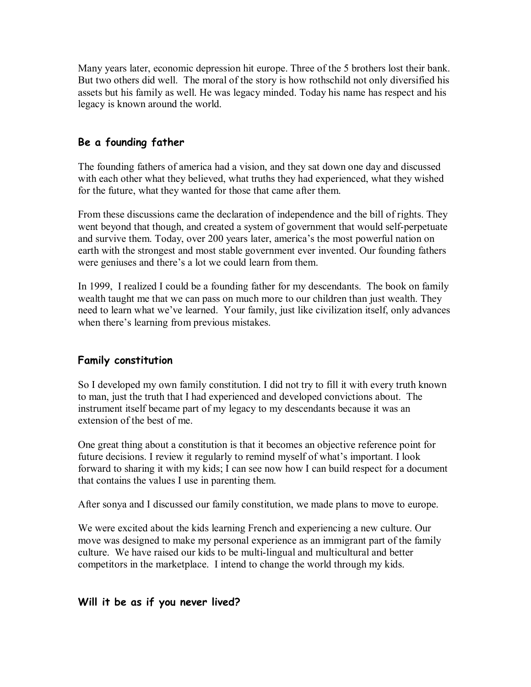Many years later, economic depression hit europe. Three of the 5 brothers lost their bank. But two others did well. The moral of the story is how rothschild not only diversified his assets but his family as well. He was legacy minded. Today his name has respect and his legacy is known around the world.

# **Be a founding father**

The founding fathers of america had a vision, and they sat down one day and discussed with each other what they believed, what truths they had experienced, what they wished for the future, what they wanted for those that came after them.

From these discussions came the declaration of independence and the bill of rights. They went beyond that though, and created a system of government that would self-perpetuate and survive them. Today, over 200 years later, america's the most powerful nation on earth with the strongest and most stable government ever invented. Our founding fathers were geniuses and there's a lot we could learn from them.

In 1999, I realized I could be a founding father for my descendants. The book on family wealth taught me that we can pass on much more to our children than just wealth. They need to learn what we've learned. Your family, just like civilization itself, only advances when there's learning from previous mistakes.

# **Family constitution**

So I developed my own family constitution. I did not try to fill it with every truth known to man, just the truth that I had experienced and developed convictions about. The instrument itself became part of my legacy to my descendants because it was an extension of the best of me.

One great thing about a constitution is that it becomes an objective reference point for future decisions. I review it regularly to remind myself of what's important. I look forward to sharing it with my kids; I can see now how I can build respect for a document that contains the values I use in parenting them.

After sonya and I discussed our family constitution, we made plans to move to europe.

We were excited about the kids learning French and experiencing a new culture. Our move was designed to make my personal experience as an immigrant part of the family culture. We have raised our kids to be multi-lingual and multicultural and better competitors in the marketplace. I intend to change the world through my kids.

## **Will it be as if you never lived?**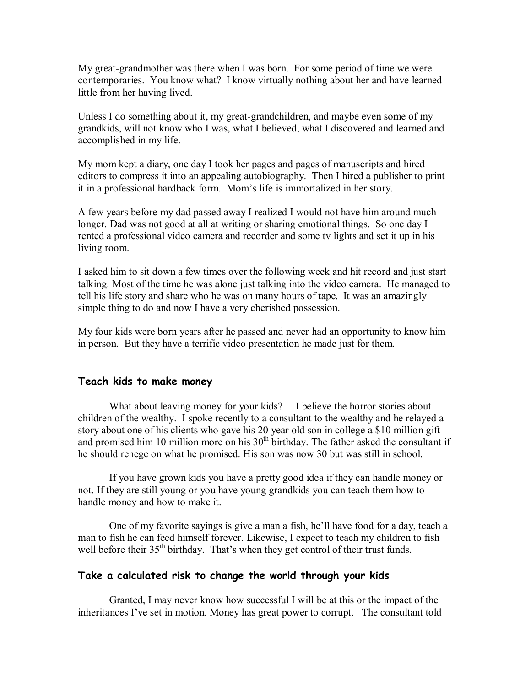My great-grandmother was there when I was born. For some period of time we were contemporaries. You know what? I know virtually nothing about her and have learned little from her having lived.

Unless I do something about it, my great-grandchildren, and maybe even some of my grandkids, will not know who I was, what I believed, what I discovered and learned and accomplished in my life.

My mom kept a diary, one day I took her pages and pages of manuscripts and hired editors to compress it into an appealing autobiography. Then I hired a publisher to print it in a professional hardback form. Mom's life is immortalized in her story.

A few years before my dad passed away Irealized I would not have him around much longer. Dad was not good at all at writing or sharing emotional things. So one day I rented a professional video camera and recorder and some tv lights and set it up in his living room.

I asked him to sit down a few times over the following week and hit record and just start talking. Most of the time he was alone just talking into the video camera. He managed to tell his life story and share who he was on many hours of tape. It was an amazingly simple thing to do and now I have a very cherished possession.

My four kids were born years after he passed and never had an opportunity to know him in person. But they have a terrific video presentation he made just for them.

### **Teach kids to make money**

What about leaving money for your kids? I believe the horror stories about children of the wealthy. I spoke recently to a consultant to the wealthy and he relayed a story about one of his clients who gave his 20 year old son in college a \$10 million gift and promised him 10 million more on his  $30<sup>th</sup>$  birthday. The father asked the consultant if he should renege on what he promised. His son was now 30 but was still in school.

If you have grown kids you have a pretty good idea if they can handle money or not. If they are still young or you have young grandkids you can teach them how to handle money and how to make it.

One of my favorite sayings is give a man a fish, he'll have food for a day, teach a man to fish he can feed himself forever. Likewise, I expect to teach my children to fish well before their 35<sup>th</sup> birthday. That's when they get control of their trust funds.

## **Take a calculated risk to change the world through your kids**

Granted, I may never know how successful I will be at this or the impact of the inheritances I've set in motion. Money has great power to corrupt. The consultant told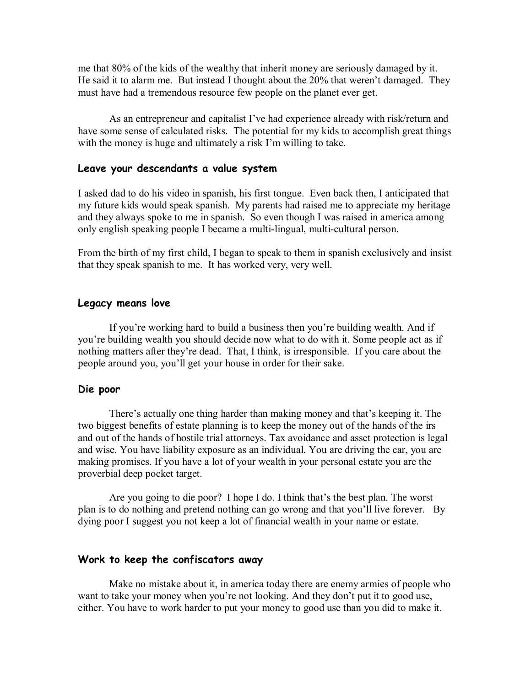me that 80% of the kids of the wealthy that inherit money are seriously damaged by it. He said it to alarm me. But instead I thought about the  $20\%$  that weren't damaged. They must have had a tremendous resource few people on the planet ever get.

As an entrepreneur and capitalist I've had experience already with risk/return and have some sense of calculated risks. The potential for my kids to accomplish great things with the money is huge and ultimately a risk I'm willing to take.

### **Leave your descendants a value system**

I asked dad to do his video in spanish, his first tongue. Even back then, I anticipated that my future kids would speak spanish. My parents had raised me to appreciate my heritage and they always spoke to me in spanish. So even though I was raised in america among only english speaking people I became a multi-lingual, multi-cultural person.

From the birth of my first child, I began to speak to them in spanish exclusively and insist that they speak spanish to me. It has worked very, very well.

#### **Legacy means love**

If you're working hard to build a business then you're building wealth. And if you're building wealth you should decide now what to do with it. Some people act as if nothing matters after they're dead. That, I think, is irresponsible. If you care about the people around you, you'll get your house in order for their sake.

#### **Die poor**

There's actually one thing harder than making money and that's keeping it. The two biggest benefits of estate planning is to keep the money out of the hands of the irs and out of the hands of hostile trial attorneys. Tax avoidance and asset protection is legal and wise. You have liability exposure as an individual. You are driving the car, you are making promises. If you have a lot of your wealth in your personal estate you are the proverbial deep pocket target.

Are you going to die poor? I hope I do. I think that's the best plan. The worst plan is to do nothing and pretend nothing can go wrong and that you'll live forever. By dying poor I suggest you not keep a lot of financial wealth in your name or estate.

#### **Work to keep the confiscators away**

Make no mistake about it, in america today there are enemy armies of people who want to take your money when you're not looking. And they don't put it to good use, either. You have to work harder to put your money to good use than you did to make it.